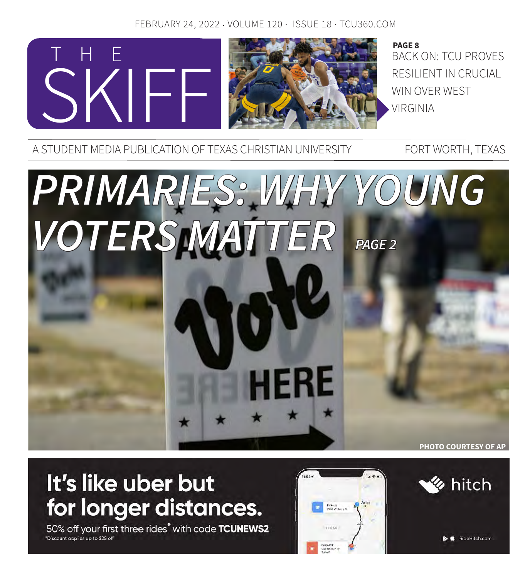## FEBRUARY 24, 2022 · VOLUME 120 · ISSUE 18 · TCU360.COM



A STUDENT MEDIA PUBLICATION OF TEXAS CHRISTIAN UNIVERSITY FORT WORTH, TEXAS

# *PRIMARIES: WHY YOUNG VOTERS MATTER*  **PHOTO COURTESY OF AP** *PAGE 2*

# It's like uber but for longer distances.

50% off your first three rides<sup>\*</sup> with code TCUNEWS2 Discount applies up to \$25 off



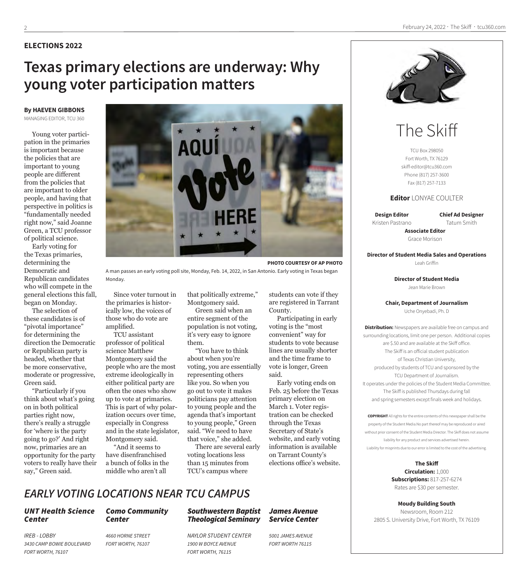#### **ELECTIONS 2022**

## **Texas primary elections are underway: Why young voter participation matters**

#### **By HAEVEN GIBBONS**  MANAGING EDITOR, TCU 360

Young voter participation in the primaries is important because the policies that are important to young people are different from the policies that are important to older people, and having that perspective in politics is "fundamentally needed right now," said Joanne Green, a TCU professor of political science.

Early voting for the Texas primaries, determining the Democratic and Republican candidates who will compete in the general elections this fall, began on Monday.

The selection of these candidates is of "pivotal importance" for determining the direction the Democratic or Republican party is headed, whether that be more conservative, moderate or progressive, Green said.

"Particularly if you think about what's going on in both political parties right now, there's really a struggle for 'where is the party going to go?' And right now, primaries are an opportunity for the party voters to really have their say," Green said.



**PHOTO COURTESY OF AP PHOTO**

A man passes an early voting poll site, Monday, Feb. 14, 2022, in San Antonio. Early voting in Texas began Monday.

Since voter turnout in the primaries is historically low, the voices of those who do vote are amplified.

TCU assistant professor of political science Matthew Montgomery said the people who are the most extreme ideologically in either political party are often the ones who show up to vote at primaries. This is part of why polarization occurs over time, especially in Congress and in the state legislator, Montgomery said.

"And it seems to have disenfranchised a bunch of folks in the middle who aren't all

that politically extreme," Montgomery said. Green said when an

entire segment of the population is not voting, it's very easy to ignore them.

"You have to think about when you're voting, you are essentially representing others like you. So when you go out to vote it makes politicians pay attention to young people and the agenda that's important to young people," Green said. "We need to have that voice," she added.

There are several early voting locations less than 15 minutes from TCU's campus where

students can vote if they are registered in Tarrant County.

Participating in early voting is the "most convenient" way for students to vote because lines are usually shorter and the time frame to vote is longer, Green said.

Early voting ends on Feb. 25 before the Texas primary election on March 1. Voter registration can be checked through the Texas Secretary of State's website, and early voting information is available on Tarrant County's elections office's website.



# The Skiff

TCU Box 298050 Fort Worth, TX 76129 skiff-editor@tcu360.com Phone (817) 257-3600 Fax (817) 257-7133

#### **Editor** LONYAE COULTER

**Design Editor** Kristen Pastrano **Chief Ad Designer** Tatum Smith

**Associate Editor** Grace Morison

**Director of Student Media Sales and Operations** Leah Griffin

> **Director of Student Media** Jean Marie Brown

**Chair, Department of Journalism**

Uche Onyebadi, Ph. D

**Distribution:** Newspapers are available free on campus and surrounding locations, limit one per person. Additional copies are \$.50 and are available at the Skiff office. The Skiff is an official student publication of Texas Christian University, produced by students of TCU and sponsored by the TCU Department of Journalism. It operates under the policies of the Student Media Committee. The Skiff is published Thursdays during fall and spring semesters except finals week and holidays.

**COPYRIGHT** All rights for the entire contents of this newspaper shall be the property of the Student Media.No part thereof may be reproduced or aired without prior consent of the Student Media Director. The Skiff does not assume liability for any product and services advertised herein. Liability for misprints due to our error is limited to the cost of the advertising.

> **The Skiff Circulation:** 1,000 **Subscriptions:** 817-257-6274 Rates are \$30 per semester.

**Moudy Building South** Newsroom, Room 212 2805 S. University Drive, Fort Worth, TX 76109

## *EARLY VOTING LOCATIONS NEAR TCU CAMPUS*

*Como Community* 

#### *UNT Health Science Center*

*IREB - LOBBY 3430 CAMP BOWIE BOULEVARD FORT WORTH, 76107* 

*4660 HORNE STREET FORT WORTH, 76107*

*Center*

#### *Southwestern Baptist Theological Seminary*

*NAYLOR STUDENT CENTER 1900 W BOYCE AVENUE FORT WORTH, 76115*

#### *James Avenue Service Center*

*5001 JAMES AVENUE FORT WORTH 76115*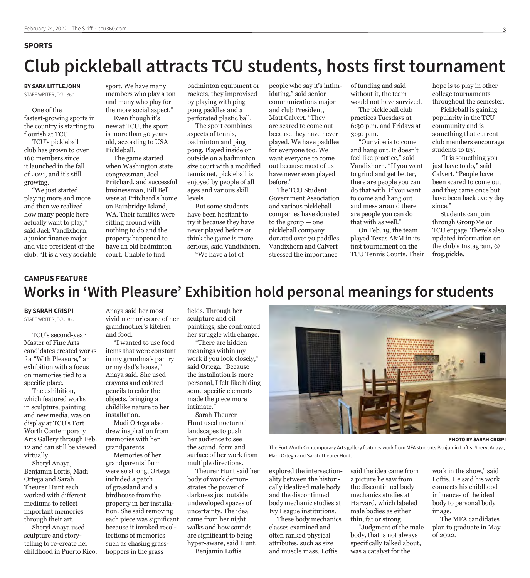#### **SPORTS**

# **Club pickleball attracts TCU students, hosts first tournament**

**BY SARA LITTLEJOHN** STAFF WRITER, TCU 360

One of the fastest-growing sports in the country is starting to flourish at TCU.

TCU's pickleball club has grown to over 160 members since it launched in the fall of 2021, and it's still growing.

"We just started playing more and more and then we realized how many people here actually want to play," said Jack Vandixhorn, a junior finance major and vice president of the club. "It is a very sociable

sport. We have many members who play a ton and many who play for the more social aspect."

Even though it's new at TCU, the sport is more than 50 years old, according to USA Pickleball.

The game started when Washington state congressman, Joel Pritchard, and successful businessman, Bill Bell, were at Pritchard's home on Bainbridge Island, WA. Their families were sitting around with nothing to do and the property happened to have an old badminton court. Unable to find

badminton equipment or rackets, they improvised by playing with ping pong paddles and a perforated plastic ball.

The sport combines aspects of tennis, badminton and ping pong. Played inside or outside on a badminton size court with a modified tennis net, pickleball is enjoyed by people of all ages and various skill levels.

But some students have been hesitant to try it because they have never played before or think the game is more serious, said Vandixhorn.

"We have a lot of

people who say it's intimidating," said senior communications major and club President, Matt Calvert. "They are scared to come out because they have never played. We have paddles for everyone too. We want everyone to come out because most of us have never even played before."

The TCU Student Government Association and various pickleball companies have donated to the group — one pickleball company donated over 70 paddles. Vandixhorn and Calvert stressed the importance

of funding and said without it, the team would not have survived.

The pickleball club practices Tuesdays at 6:30 p.m. and Fridays at 3:30 p.m.

"Our vibe is to come and hang out. It doesn't feel like practice," said Vandixhorn. "If you want to grind and get better, there are people you can do that with. If you want to come and hang out and mess around there are people you can do that with as well."

On Feb. 19, the team played Texas A&M in its first tournament on the TCU Tennis Courts. Their hope is to play in other college tournaments throughout the semester.

Pickleball is gaining popularity in the TCU community and is something that current club members encourage students to try.

"It is something you just have to do," said Calvert. "People have been scared to come out and they came once but have been back every day since."

Students can join through GroupMe or TCU engage. There's also updated information on the club's Instagram, @ frog.pickle.

## **Works in 'With Pleasure' Exhibition hold personal meanings for students CAMPUS FEATURE**

#### **By SARAH CRISPI**

STAFF WRITER, TCU 360

TCU's second-year Master of Fine Arts candidates created works for "With Pleasure," an exhibition with a focus on memories tied to a specific place.

The exhibition, which featured works in sculpture, painting and new media, was on display at TCU's Fort Worth Contemporary Arts Gallery through Feb. 12 and can still be viewed virtually.

Sheryl Anaya, Benjamin Loftis, Madi Ortega and Sarah Theurer Hunt each worked with different mediums to reflect important memories through their art.

Sheryl Anaya used sculpture and storytelling to re-create her childhood in Puerto Rico. Anaya said her most vivid memories are of her grandmother's kitchen and food.

"I wanted to use food items that were constant in my grandma's pantry or my dad's house," Anaya said. She used crayons and colored pencils to color the objects, bringing a childlike nature to her installation.

Madi Ortega also drew inspiration from memories with her grandparents.

Memories of her grandparents' farm were so strong, Ortega included a patch of grassland and a birdhouse from the property in her installation. She said removing each piece was significant because it invoked recollections of memories such as chasing grasshoppers in the grass

fields. Through her sculpture and oil paintings, she confronted her struggle with change.

"There are hidden meanings within my work if you look closely," said Ortega. "Because the installation is more personal, I felt like hiding some specific elements made the piece more intimate."

Sarah Theurer Hunt used nocturnal landscapes to push her audience to see the sound, form and surface of her work from multiple directions.

Theurer Hunt said her body of work demonstrates the power of darkness just outside undeveloped spaces of uncertainty. The idea came from her night walks and how sounds are significant to being hyper-aware, said Hunt.

Benjamin Loftis

**PHOTO BY SARAH CRISPI**

The Fort Worth Contemporary Arts gallery features work from MFA students Benjamin Loftis, Sheryl Anaya, Madi Ortega and Sarah Theurer Hunt.

explored the intersectionality between the historically idealized male body and the discontinued body mechanic studies at Ivy League institutions.

These body mechanics classes examined and often ranked physical attributes, such as size and muscle mass. Loftis

said the idea came from a picture he saw from the discontinued body mechanics studies at Harvard, which labeled male bodies as either thin, fat or strong.

"Judgment of the male body, that is not always specifically talked about, was a catalyst for the

work in the show," said Loftis. He said his work connects his childhood influences of the ideal body to personal body image.

The MFA candidates plan to graduate in May of 2022.

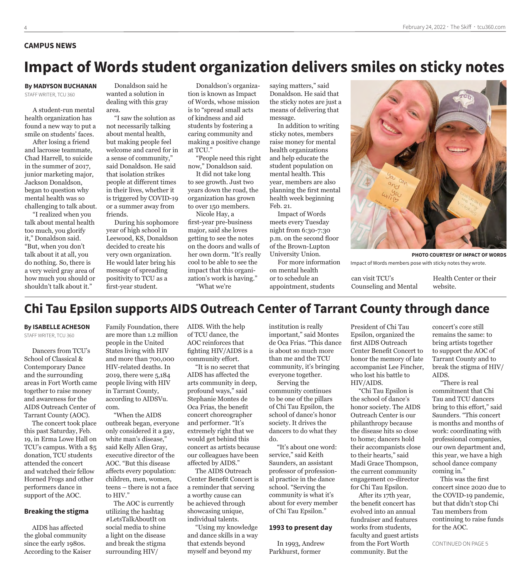#### **CAMPUS NEWS**

## **Impact of Words student organization delivers smiles on sticky notes**

#### **By MADYSON BUCHANAN**

STAFF WRITER, TCU 360

A student-run mental health organization has found a new way to put a smile on students' faces.

After losing a friend and lacrosse teammate, Chad Harrell, to suicide in the summer of 2017, junior marketing major, Jackson Donaldson, began to question why mental health was so challenging to talk about.

"I realized when you talk about mental health too much, you glorify it," Donaldson said. "But, when you don't talk about it at all, you do nothing. So, there is a very weird gray area of how much you should or shouldn't talk about it."

Donaldson said he wanted a solution in dealing with this gray area.

"I saw the solution as not necessarily talking about mental health, but making people feel welcome and cared for in a sense of community," said Donaldson. He said that isolation strikes people at different times in their lives, whether it is triggered by COVID-19 or a summer away from friends.

During his sophomore year of high school in Leewood, KS, Donaldson decided to create his very own organization. He would later bring his message of spreading positivity to TCU as a first-year student.

Donaldson's organization is known as Impact of Words, whose mission is to "spread small acts of kindness and aid students by fostering a caring community and making a positive change at TCU."

"People need this right now," Donaldson said.

It did not take long to see growth. Just two years down the road, the organization has grown to over 150 members.

Nicole Hay, a first-year pre-business major, said she loves getting to see the notes on the doors and walls of her own dorm. "It's really cool to be able to see the impact that this organization's work is having." "What we're

saying matters," said Donaldson. He said that the sticky notes are just a means of delivering that message.

In addition to writing sticky notes, members raise money for mental health organizations and help educate the student population on mental health. This year, members are also planning the first mental health week beginning Feb. 21.

Impact of Words meets every Tuesday night from 6:30-7:30 p.m. on the second floor of the Brown-Lupton University Union.

For more information on mental health or to schedule an appointment, students

**PHOTO COURTESY OF IMPACT OF WORDS**

can visit TCU's

Health Center or their website.

## **Chi Tau Epsilon supports AIDS Outreach Center of Tarrant County through dance**

**By ISABELLE ACHESON** STAFF WRITER, TCU 360

Dancers from TCU's School of Classical & Contemporary Dance and the surrounding areas in Fort Worth came together to raise money and awareness for the AIDS Outreach Center of Tarrant County (AOC).

The concert took place this past Saturday, Feb. 19, in Erma Lowe Hall on TCU's campus. With a \$5 donation, TCU students attended the concert and watched their fellow Horned Frogs and other performers dance in support of the AOC.

#### **Breaking the stigma**

AIDS has affected the global community since the early 1980s. According to the Kaiser

Family Foundation, there are more than 1.2 million people in the United States living with HIV and more than 700,000 HIV-related deaths. In 2019, there were 5,184 people living with HIV in Tarrant County, according to AIDSVu. com.

"When the AIDS outbreak began, everyone only considered it a gay, white man's disease," said Kelly Allen Gray, executive director of the AOC. "But this disease affects every population: children, men, women, teens – there is not a face to HIV."

The AOC is currently utilizing the hashtag #LetsTalkAboutIt on social media to shine a light on the disease and break the stigma surrounding HIV/

AIDS. With the help of TCU dance, the AOC reinforces that fighting HIV/AIDS is a community effort.

"It is no secret that AIDS has affected the arts community in deep, profound ways," said Stephanie Montes de Oca Frias, the benefit concert choreographer and performer. "It's extremely right that we would get behind this concert as artists because our colleagues have been affected by AIDS."

The AIDS Outreach Center Benefit Concert is a reminder that serving a worthy cause can be achieved through showcasing unique, individual talents.

"Using my knowledge and dance skills in a way that extends beyond myself and beyond my

institution is really important," said Montes de Oca Frias. "This dance is about so much more than me and the TCU community, it's bringing everyone together.

Serving the community continues to be one of the pillars of Chi Tau Epsilon, the school of dance's honor society. It drives the dancers to do what they do.

"It's about one word: service," said Keith Saunders, an assistant professor of professional practice in the dance school. "Serving the community is what it's about for every member of Chi Tau Epsilon."

#### **1993 to present day**

In 1993, Andrew Parkhurst, former

President of Chi Tau Epsilon, organized the first AIDS Outreach Center Benefit Concert to honor the memory of late accompanist Lee Fincher, who lost his battle to HIV/AIDS.

"Chi Tau Epsilon is the school of dance's honor society. The AIDS Outreach Center is our philanthropy because the disease hits so close to home; dancers hold their accompanists close to their hearts," said Madi Grace Thompson, the current community engagement co-director for Chi Tau Epsilon.

After its 17th year, the benefit concert has evolved into an annual fundraiser and features works from students, faculty and guest artists from the Fort Worth community. But the

concert's core still remains the same: to bring artists together to support the AOC of Tarrant County and to break the stigma of HIV/ AIDS.

"There is real commitment that Chi Tau and TCU dancers bring to this effort," said Saunders. "This concert is months and months of work: coordinating with professional companies, our own department and, this year, we have a high school dance company coming in."

This was the first concert since 2020 due to the COVID-19 pandemic, but that didn't stop Chi Tau members from continuing to raise funds for the AOC.

Impact of Words members pose with sticky notes they wrote.

Counseling and Mental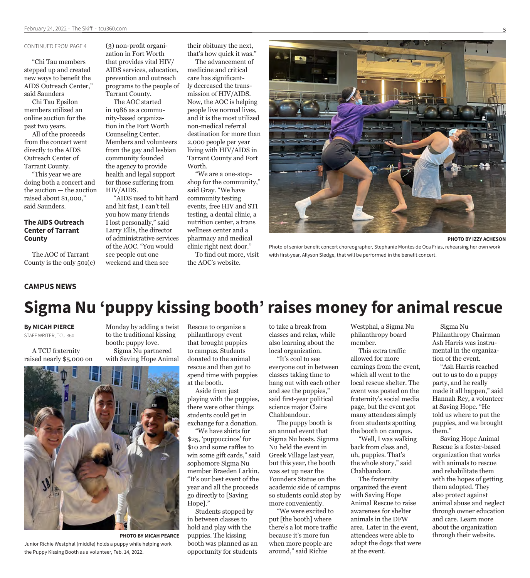#### CONTINUED FROM PAGE 4

"Chi Tau members stepped up and created new ways to benefit the AIDS Outreach Center," said Saunders

Chi Tau Epsilon members utilized an online auction for the past two years.

All of the proceeds from the concert went directly to the AIDS Outreach Center of Tarrant County.

"This year we are doing both a concert and the auction — the auction raised about \$1,000," said Saunders.

#### **The AIDS Outreach Center of Tarrant County**

The AOC of Tarrant County is the only 501(c)

(3) non-profit organization in Fort Worth that provides vital HIV/ AIDS services, education, prevention and outreach programs to the people of Tarrant County.

The AOC started in 1986 as a community-based organization in the Fort Worth Counseling Center. Members and volunteers from the gay and lesbian community founded the agency to provide health and legal support for those suffering from HIV/AIDS.

"AIDS used to hit hard and hit fast, I can't tell you how many friends I lost personally," said Larry Ellis, the director of administrative services of the AOC. "You would see people out one weekend and then see

their obituary the next, that's how quick it was."

The advancement of medicine and critical care has significantly decreased the transmission of HIV/AIDS. Now, the AOC is helping people live normal lives, and it is the most utilized non-medical referral destination for more than 2,000 people per year living with HIV/AIDS in Tarrant County and Fort Worth.

"We are a one-stopshop for the community," said Gray. "We have community testing events, free HIV and STI testing, a dental clinic, a nutrition center, a trans wellness center and a pharmacy and medical clinic right next door."

To find out more, visit the AOC's website.



**PHOTO BY IZZY ACHESON**

Photo of senior benefit concert choreographer, Stephanie Montes de Oca Frias, rehearsing her own work with first-year, Allyson Sledge, that will be performed in the benefit concert.

#### **CAMPUS NEWS**

## **Sigma Nu 'puppy kissing booth' raises money for animal rescue**

**By MICAH PIERCE**

STAFF WRITER, TCU 360

A TCU fraternity raised nearly \$5,000 on

Monday by adding a twist to the traditional kissing booth: puppy love. Sigma Nu partnered with Saving Hope Animal



Junior Richie Westphal (middle) holds a puppy while helping work the Puppy Kissing Booth as a volunteer, Feb. 14, 2022.

Rescue to organize a philanthropy event that brought puppies to campus. Students donated to the animal rescue and then got to spend time with puppies at the booth.

Aside from just playing with the puppies, there were other things students could get in exchange for a donation.

"We have shirts for \$25, 'puppuccinos' for \$10 and some raffles to win some gift cards," said sophomore Sigma Nu member Braeden Larkin. "It's our best event of the year and all the proceeds go directly to [Saving Hope]."

Students stopped by in between classes to hold and play with the puppies. The kissing booth was planned as an opportunity for students **PHOTO BY MICAH PEARCE** puppies. The kissing because it's more fun attendees were able to through their website.

to take a break from classes and relax, while also learning about the local organization.

"It's cool to see everyone out in between classes taking time to hang out with each other and see the puppies," said first-year political science major Claire Chahbandour.

The puppy booth is an annual event that Sigma Nu hosts. Signma Nu held the event in Greek Village last year, but this year, the booth was set up near the Founders Statue on the academic side of campus so students could stop by more conveniently.

"We were excited to put [the booth] where there's a lot more traffic because it's more fun when more people are around," said Richie

Westphal, a Sigma Nu philanthropy board member.

This extra traffic allowed for more earnings from the event, which all went to the local rescue shelter. The event was posted on the fraternity's social media page, but the event got many attendees simply from students spotting the booth on campus.

"Well, I was walking back from class and, uh, puppies. That's the whole story," said Chahbandour.

The fraternity organized the event with Saving Hope Animal Rescue to raise awareness for shelter animals in the DFW area. Later in the event, attendees were able to adopt the dogs that were at the event.

Sigma Nu Philanthropy Chairman Ash Harris was instrumental in the organization of the event.

"Ash Harris reached out to us to do a puppy party, and he really made it all happen," said Hannah Rey, a volunteer at Saving Hope. "He told us where to put the puppies, and we brought them."

Saving Hope Animal Rescue is a foster-based organization that works with animals to rescue and rehabilitate them with the hopes of getting them adopted. They also protect against animal abuse and neglect through owner education and care. Learn more about the organization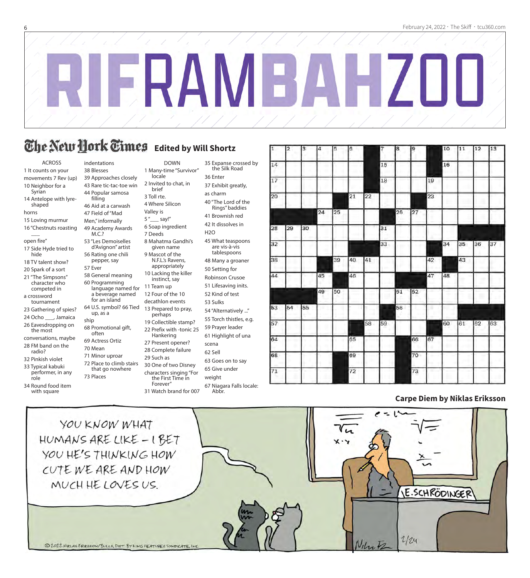$\blacksquare$ 

 $\overline{1}$ 

 $\sqrt{2}$ 

 $\overline{5}$ 

## **The New Hork Times** Edited by Will Shortz

DOWN 1 Many-time "Survivor"

8 Mahatma Gandhi's given name 9 Mascot of the N.F.L.'s Ravens, appropriately 10 Lacking the killer instinct, say 11 Team up 12 Four of the 10 decathlon events 13 Prepared to pray, perhaps 19 Collectible stamp? 22 Prefix with -tonic 25 Hankering 27 Present opener? 28 Complete failure 29 Such as

locale 2 Invited to chat, in brief 3 Toll rte. 4 Where Silicon Valley is 5"\_\_\_\_ say!" 6 Soap ingredient 7 Deeds

ACROSS 1 It counts on your movements 7 Rev (up) 10 Neighbor for a Syrian 14 Antelope with lyreshaped horns 15 Loving murmur 16 "Chestnuts roasting  $\overline{\phantom{a}}$ open fire" 17 Side Hyde tried to hide 18 TV talent show? 20 Spark of a sort 21 "The Simpsons" character who competed in a crossword tournament 23 Gathering of spies? 24 Ocho \_\_\_, Jamaica 26 Eavesdropping on the most

- conversations, maybe 28 FM band on the radio?
- 32 Pinkish violet
- 33 Typical kabuki performer, in any
- role 34 Round food item
- with square

indentations 38 Blesses 39 Approaches closely 43 Rare tic-tac-toe win

44 Popular samosa filling 46 Aid at a carwash 47 Field of "Mad

Men," informally 49 Academy Awards M.C.? 53 "Les Demoiselles d'Avignon" artist

56 Rating one chili pepper, say 57 Ever 58 General meaning 60 Programming language named for a beverage named for an island

- 64 U.S. symbol? 66 Tied up, as a ship 68 Promotional gift, often
- 69 Actress Ortiz 70 Mean
- 71 Minor uproar 72 Place to climb stairs that go nowhere

73 Places

- characters singing "For the First Time in
	- Forever"
	- 31 Watch brand for 007

30 One of two Disney

35 Expanse crossed by the Silk Road 36 Enter 37 Exhibit greatly,

as charm 40 "The Lord of the

Rings" baddies 41 Brownish red

42 It dissolves in

H2O 45 What teaspoons are vis-à-vis

tablespoons 48 Many a groaner

50 Setting for Robinson Crusoe

51 Lifesaving inits.

52 Kind of test 53 Sulks

- 54 "Alternatively ..."
- 55 Torch thistles, e.g.
- 59 Prayer leader 61 Highlight of una
- scena

62 Sell

63 Goes on to say

65 Give under weight

67 Niagara Falls locale:

Abbr.

| 1               | 2  | 3  | 4  | 5  | 6  |    | 7  | 8  | ļ9 |    | 10 | 11 | 12 | 13 |
|-----------------|----|----|----|----|----|----|----|----|----|----|----|----|----|----|
| 14              |    |    |    |    |    |    | 15 |    |    |    | 16 |    |    |    |
| 17              |    |    |    |    |    |    | 18 |    |    | 19 |    |    |    |    |
| 20              |    |    |    |    | 21 | 22 |    |    |    | 23 |    |    |    |    |
|                 |    |    | 24 | 25 |    |    |    | 26 | 27 |    |    |    |    |    |
| 28              | 29 | 30 |    |    |    |    | 31 |    |    |    |    |    |    |    |
| $\overline{32}$ |    |    |    |    |    |    | 33 |    |    |    | 34 | 35 | 36 | 37 |
| 38              |    |    |    | 39 | 40 | 41 |    |    |    | 42 |    | 43 |    |    |
| 44              |    |    | 45 |    | 46 |    |    |    |    | 47 | 48 |    |    |    |
|                 |    |    | 49 | 50 |    |    |    | 51 | 52 |    |    |    |    |    |
| 53              | 54 | 55 |    |    |    |    |    | 56 |    |    |    |    |    |    |
| 57              |    |    |    |    |    | 58 | 59 |    |    |    | 60 | 61 | 62 | 63 |
| 64              |    |    |    |    | 65 |    |    |    | 66 | 67 |    |    |    |    |
| 68              |    |    |    |    | 69 |    |    |    | 70 |    |    |    |    |    |
| 71              |    |    |    |    | 72 |    |    |    | 73 |    |    |    |    |    |
|                 |    |    |    |    |    |    |    |    |    |    |    |    |    |    |

#### **Carpe Diem by Niklas Eriksson**

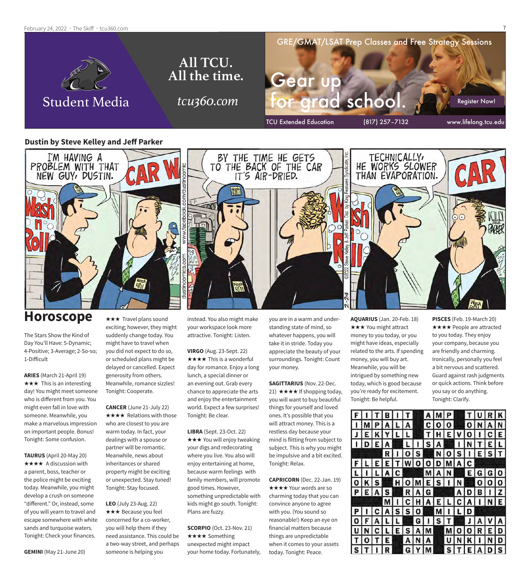#### February 24, 2022 · The Skiff · tcu360.com



#### **Dustin by Steve Kelley and Jeff Parker**



### **Horoscope**

The Stars Show the Kind of Day You'll Have: 5-Dynamic; 4-Positive; 3-Average; 2-So-so; 1-Difficult

**ARIES** (March 21-April 19)  $\star \star \star$  This is an interesting day! You might meet someone who is different from you. You might even fall in love with someone. Meanwhile, you make a marvelous impression on important people. Bonus! Tonight: Some confusion.

**TAURUS** (April 20-May 20) **★★★★** A discussion with a parent, boss, teacher or the police might be exciting today. Meanwhile, you might develop a crush on someone "different." Or, instead, some of you will yearn to travel and escape somewhere with white sands and turquoise waters. Tonight: Check your finances.

\*\*\* Travel plans sound exciting; however, they might suddenly change today. You might have to travel when you did not expect to do so, or scheduled plans might be delayed or cancelled. Expect generosity from others. Meanwhile, romance sizzles! Tonight: Cooperate.

**CANCER** (June 21-July 22) **★★★★** Relations with those who are closest to you are warm today. In fact, your dealings with a spouse or partner will be romantic. Meanwhile, news about inheritances or shared property might be exciting or unexpected. Stay tuned! Tonight: Stay focused.

**LEO** (July 23-Aug. 22) \*\*\* Because you feel concerned for a co-worker, you will help them if they need assistance. This could be a two-way street, and perhaps someone is helping you

instead. You also might make your workspace look more attractive. Tonight: Listen.

**VIRGO** (Aug. 23-Sept. 22)  $\star \star \star \star$  This is a wonderful day for romance. Enjoy a long lunch, a special dinner or an evening out. Grab every chance to appreciate the arts and enjoy the entertainment world. Expect a few surprises! Tonight: Be clear.

**LIBRA** (Sept. 23-Oct. 22)  $\star \star \star$  You will enjoy tweaking your digs and redecorating where you live. You also will enjoy entertaining at home, because warm feelings with family members, will promote good times. However, something unpredictable with kids might go south. Tonight: Plans are fuzzy.

**SCORPIO** (Oct. 23-Nov. 21) ★★★★ Something unexpected might impact your home today. Fortunately,

you are in a warm and understanding state of mind, so whatever happens, you will take it in stride. Today you appreciate the beauty of your surroundings. Tonight: Count your money.

**SAGITTARIUS** (Nov. 22-Dec. 21)  $\star \star \star \star$  If shopping today, you will want to buy beautiful things for yourself and loved ones. It's possible that you will attract money. This is a restless day because your mind is flitting from subject to subject. This is why you might be impulsive and a bit excited. Tonight: Relax.

**CAPRICORN** (Dec. 22-Jan. 19) **★★★★ Your words are so** charming today that you can convince anyone to agree with you. (You sound so reasonable!) Keep an eye on financial matters because things are unpredictable when it comes to your assets today. Tonight: Peace.

**AQUARIUS** (Jan. 20-Feb. 18) **★★★ You might attract** money to you today, or you might have ideas, especially related to the arts. If spending money, you will buy art. Meanwhile, you will be intrigued by something new today, which is good because you're ready for excitement. Tonight: Be helpful.

**PISCES** (Feb. 19-March 20) **★★★★** People are attracted to you today. They enjoy your company, because you are friendly and charming. Ironically, personally you feel a bit nervous and scattered. Guard against rash judgments or quick actions. Think before you say or do anything. Tonight: Clarify.